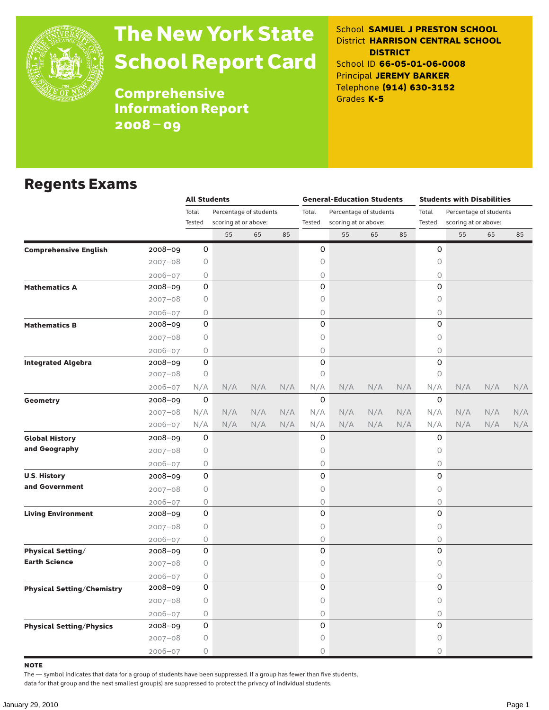

# The New York State School Report Card

School **SAMUEL J PRESTON SCHOOL** District **HARRISON CENTRAL SCHOOL DISTRICT** School ID **66-05-01-06-0008** Principal **JEREMY BARKER** Telephone **(914) 630-3152** Grades **K-5**

**Comprehensive** Information Report 2008–09

### Regents Exams

|                                   |             | <b>All Students</b> |                        |     |     |             | <b>General-Education Students</b> |     |     | <b>Students with Disabilities</b> |                        |     |     |  |  |
|-----------------------------------|-------------|---------------------|------------------------|-----|-----|-------------|-----------------------------------|-----|-----|-----------------------------------|------------------------|-----|-----|--|--|
|                                   |             | Total               | Percentage of students |     |     | Total       | Percentage of students            |     |     | Total                             | Percentage of students |     |     |  |  |
|                                   |             | Tested              | scoring at or above:   |     |     | Tested      | scoring at or above:              |     |     | Tested                            | scoring at or above:   |     |     |  |  |
|                                   |             |                     | 55                     | 65  | 85  |             | 55                                | 65  | 85  |                                   | 55                     | 65  | 85  |  |  |
| <b>Comprehensive English</b>      | 2008-09     | 0                   |                        |     |     | 0           |                                   |     |     | 0                                 |                        |     |     |  |  |
|                                   | $2007 - 08$ | 0                   |                        |     |     | 0           |                                   |     |     | 0                                 |                        |     |     |  |  |
|                                   | $2006 - 07$ | 0                   |                        |     |     | 0           |                                   |     |     | $\mathsf O$                       |                        |     |     |  |  |
| <b>Mathematics A</b>              | 2008-09     | 0                   |                        |     |     | 0           |                                   |     |     | $\Omega$                          |                        |     |     |  |  |
|                                   | $2007 - 08$ | 0                   |                        |     |     | 0           |                                   |     |     | 0                                 |                        |     |     |  |  |
|                                   | $2006 - 07$ | 0                   |                        |     |     | 0           |                                   |     |     | $\mathsf O$                       |                        |     |     |  |  |
| <b>Mathematics B</b>              | 2008-09     | 0                   |                        |     |     | 0           |                                   |     |     | 0                                 |                        |     |     |  |  |
|                                   | $2007 - 08$ | 0                   |                        |     |     | 0           |                                   |     |     | $\mathsf O$                       |                        |     |     |  |  |
|                                   | $2006 - 07$ | 0                   |                        |     |     | 0           |                                   |     |     | $\bigcirc$                        |                        |     |     |  |  |
| <b>Integrated Algebra</b>         | 2008-09     | 0                   |                        |     |     | 0           |                                   |     |     | 0                                 |                        |     |     |  |  |
|                                   | $2007 - 08$ | 0                   |                        |     |     | 0           |                                   |     |     | 0                                 |                        |     |     |  |  |
|                                   | 2006-07     | N/A                 | N/A                    | N/A | N/A | N/A         | N/A                               | N/A | N/A | N/A                               | N/A                    | N/A | N/A |  |  |
| Geometry                          | 2008-09     | 0                   |                        |     |     | $\mathbf 0$ |                                   |     |     | 0                                 |                        |     |     |  |  |
|                                   | $2007 - 08$ | N/A                 | N/A                    | N/A | N/A | N/A         | N/A                               | N/A | N/A | N/A                               | N/A                    | N/A | N/A |  |  |
|                                   | 2006-07     | N/A                 | N/A                    | N/A | N/A | N/A         | N/A                               | N/A | N/A | N/A                               | N/A                    | N/A | N/A |  |  |
| <b>Global History</b>             | $2008 - 09$ | 0                   |                        |     |     | 0           |                                   |     |     | 0                                 |                        |     |     |  |  |
| and Geography                     | $2007 - 08$ | 0                   |                        |     |     | 0           |                                   |     |     | $\mathsf O$                       |                        |     |     |  |  |
|                                   | $2006 - 07$ | 0                   |                        |     |     | 0           |                                   |     |     | 0                                 |                        |     |     |  |  |
| <b>U.S. History</b>               | 2008-09     | 0                   |                        |     |     | 0           |                                   |     |     | 0                                 |                        |     |     |  |  |
| and Government                    | $2007 - 08$ | 0                   |                        |     |     | 0           |                                   |     |     | 0                                 |                        |     |     |  |  |
|                                   | $2006 - 07$ | 0                   |                        |     |     | 0           |                                   |     |     | $\bigcirc$                        |                        |     |     |  |  |
| <b>Living Environment</b>         | 2008-09     | 0                   |                        |     |     | 0           |                                   |     |     | 0                                 |                        |     |     |  |  |
|                                   | $2007 - 08$ | 0                   |                        |     |     | 0           |                                   |     |     | 0                                 |                        |     |     |  |  |
|                                   | $2006 - 07$ | 0                   |                        |     |     | 0           |                                   |     |     | 0                                 |                        |     |     |  |  |
| <b>Physical Setting/</b>          | 2008-09     | 0                   |                        |     |     | 0           |                                   |     |     | 0                                 |                        |     |     |  |  |
| <b>Earth Science</b>              | $2007 - 08$ | 0                   |                        |     |     | 0           |                                   |     |     | 0                                 |                        |     |     |  |  |
|                                   | $2006 - 07$ | 0                   |                        |     |     | 0           |                                   |     |     | 0                                 |                        |     |     |  |  |
| <b>Physical Setting/Chemistry</b> | 2008-09     | 0                   |                        |     |     | 0           |                                   |     |     | 0                                 |                        |     |     |  |  |
|                                   | $2007 - 08$ | 0                   |                        |     |     | 0           |                                   |     |     | $\mathsf O$                       |                        |     |     |  |  |
|                                   | $2006 - 07$ | 0                   |                        |     |     | 0           |                                   |     |     | $\bigcirc$                        |                        |     |     |  |  |
| <b>Physical Setting/Physics</b>   | 2008-09     | 0                   |                        |     |     | 0           |                                   |     |     | 0                                 |                        |     |     |  |  |
|                                   | $2007 - 08$ | 0                   |                        |     |     | 0           |                                   |     |     | $\mathsf O$                       |                        |     |     |  |  |
|                                   | $2006 - 07$ | 0                   |                        |     |     | 0           |                                   |     |     | $\circ$                           |                        |     |     |  |  |

note

The — symbol indicates that data for a group of students have been suppressed. If a group has fewer than five students,

data for that group and the next smallest group(s) are suppressed to protect the privacy of individual students.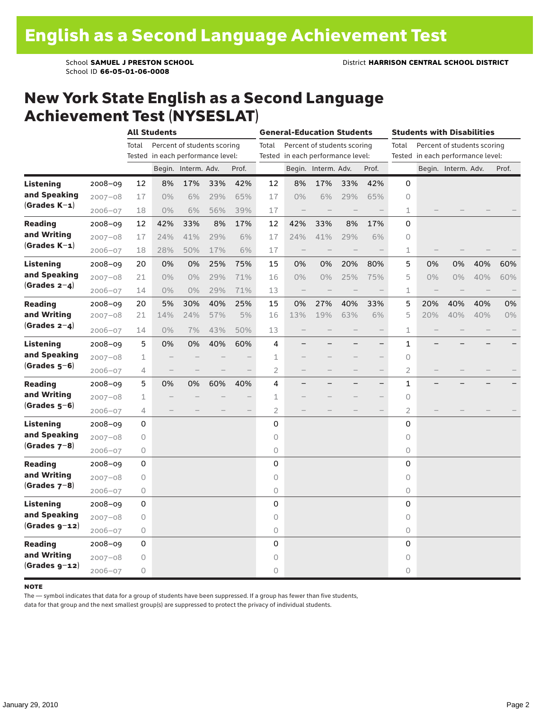### New York State English as a Second Language Achievement Test (NYSESLAT)

|                  |             |             | <b>All Students</b>      |                                   |     |                          |                | <b>General-Education Students</b> |                             |     |                   |                |     | <b>Students with Disabilities</b><br>Percent of students scoring<br>Tested in each performance level:<br>Begin. Interm. Adv.<br>0%<br>40%<br>0%<br>40%<br>40%<br>40%<br>40%<br>40% |  |       |
|------------------|-------------|-------------|--------------------------|-----------------------------------|-----|--------------------------|----------------|-----------------------------------|-----------------------------|-----|-------------------|----------------|-----|------------------------------------------------------------------------------------------------------------------------------------------------------------------------------------|--|-------|
|                  |             | Total       |                          | Percent of students scoring       |     |                          | Total          |                                   | Percent of students scoring |     |                   | Total          |     |                                                                                                                                                                                    |  |       |
|                  |             |             |                          | Tested in each performance level: |     |                          |                | Tested in each performance level: |                             |     |                   |                |     |                                                                                                                                                                                    |  |       |
|                  |             |             |                          | Begin. Interm. Adv.               |     | Prof.                    |                |                                   | Begin. Interm. Adv.         |     | Prof.             |                |     |                                                                                                                                                                                    |  | Prof. |
| <b>Listening</b> | $2008 - 09$ | 12          | 8%                       | 17%                               | 33% | 42%                      | 12             | 8%                                | 17%                         | 33% | 42%               | 0              |     |                                                                                                                                                                                    |  |       |
| and Speaking     | $2007 - 08$ | 17          | $0\%$                    | 6%                                | 29% | 65%                      | 17             | 0%                                | 6%                          | 29% | 65%               | $\circ$        |     |                                                                                                                                                                                    |  |       |
| $(Grades K-1)$   | $2006 - 07$ | 18          | $0\%$                    | 6%                                | 56% | 39%                      | 17             | $\overline{\phantom{m}}$          |                             |     |                   | $\mathbf{1}$   |     |                                                                                                                                                                                    |  |       |
| <b>Reading</b>   | $2008 - 09$ | 12          | 42%                      | 33%                               | 8%  | 17%                      | 12             | 42%                               | 33%                         | 8%  | 17%               | 0              |     |                                                                                                                                                                                    |  |       |
| and Writing      | $2007 - 08$ | 17          | 24%                      | 41%                               | 29% | 6%                       | 17             | 24%                               | 41%                         | 29% | 6%                | 0              |     |                                                                                                                                                                                    |  |       |
| $(Grades K-1)$   | $2006 - 07$ | 18          | 28%                      | 50%                               | 17% | 6%                       | 17             |                                   |                             |     |                   | $\mathbf 1$    |     |                                                                                                                                                                                    |  |       |
| Listening        | $2008 - 09$ | 20          | 0%                       | 0%                                | 25% | 75%                      | 15             | 0%                                | 0%                          | 20% | 80%               | 5              | 0%  |                                                                                                                                                                                    |  | 60%   |
| and Speaking     | $2007 - 08$ | 21          | $0\%$                    | 0%                                | 29% | 71%                      | 16             | 0%                                | $0\%$                       | 25% | 75%               | 5              | 0%  |                                                                                                                                                                                    |  | 60%   |
| (Grades $2-4$ )  | $2006 - 07$ | 14          | $0\%$                    | 0%                                | 29% | 71%                      | 13             |                                   |                             |     |                   | 1              |     |                                                                                                                                                                                    |  |       |
| <b>Reading</b>   | $2008 - 09$ | 20          | 5%                       | 30%                               | 40% | 25%                      | 15             | 0%                                | 27%                         | 40% | 33%               | 5              | 20% |                                                                                                                                                                                    |  | 0%    |
| and Writing      | $2007 - 08$ | 21          | 14%                      | 24%                               | 57% | 5%                       | 16             | 13%                               | 19%                         | 63% | 6%                | 5              | 20% |                                                                                                                                                                                    |  | 0%    |
| (Grades $2-4$ )  | $2006 - 07$ | 14          | $0\%$                    | 7%                                | 43% | 50%                      | 13             |                                   |                             |     |                   | $\mathbf{1}$   |     |                                                                                                                                                                                    |  |       |
| Listening        | $2008 - 09$ | 5           | 0%                       | 0%                                | 40% | 60%                      | 4              |                                   |                             |     | $\qquad \qquad -$ | 1              |     |                                                                                                                                                                                    |  |       |
| and Speaking     | $2007 - 08$ | 1           |                          |                                   |     |                          | 1              |                                   |                             |     |                   | 0              |     |                                                                                                                                                                                    |  |       |
| $(Grades 5-6)$   | $2006 - 07$ | 4           | $\overline{\phantom{0}}$ |                                   |     |                          | $\overline{2}$ |                                   |                             |     | $\qquad \qquad -$ | $\overline{2}$ |     |                                                                                                                                                                                    |  |       |
| <b>Reading</b>   | $2008 - 09$ | 5           | 0%                       | 0%                                | 60% | 40%                      | 4              |                                   |                             |     | $\qquad \qquad -$ | 1              |     |                                                                                                                                                                                    |  |       |
| and Writing      | $2007 - 08$ | 1           |                          |                                   |     |                          | 1              |                                   |                             |     |                   | 0              |     |                                                                                                                                                                                    |  |       |
| $(Grades 5-6)$   | $2006 - 07$ | 4           |                          |                                   |     | $\overline{\phantom{0}}$ | $\overline{2}$ |                                   |                             |     | $\qquad \qquad -$ | $\overline{2}$ |     |                                                                                                                                                                                    |  |       |
| Listening        | $2008 - 09$ | 0           |                          |                                   |     |                          | 0              |                                   |                             |     |                   | 0              |     |                                                                                                                                                                                    |  |       |
| and Speaking     | $2007 - 08$ | 0           |                          |                                   |     |                          | 0              |                                   |                             |     |                   | $\circ$        |     |                                                                                                                                                                                    |  |       |
| $(Grades 7-8)$   | $2006 - 07$ | 0           |                          |                                   |     |                          | 0              |                                   |                             |     |                   | 0              |     |                                                                                                                                                                                    |  |       |
| <b>Reading</b>   | $2008 - 09$ | 0           |                          |                                   |     |                          | 0              |                                   |                             |     |                   | 0              |     |                                                                                                                                                                                    |  |       |
| and Writing      | $2007 - 08$ | 0           |                          |                                   |     |                          | 0              |                                   |                             |     |                   | $\overline{O}$ |     |                                                                                                                                                                                    |  |       |
| $(Grades 7-8)$   | $2006 - 07$ | 0           |                          |                                   |     |                          | 0              |                                   |                             |     |                   | 0              |     |                                                                                                                                                                                    |  |       |
| Listening        | $2008 - 09$ | 0           |                          |                                   |     |                          | 0              |                                   |                             |     |                   | 0              |     |                                                                                                                                                                                    |  |       |
| and Speaking     | $2007 - 08$ | $\mathsf O$ |                          |                                   |     |                          | 0              |                                   |                             |     |                   | 0              |     |                                                                                                                                                                                    |  |       |
| $(Grades g-12)$  | $2006 - 07$ | 0           |                          |                                   |     |                          | 0              |                                   |                             |     |                   | $\overline{O}$ |     |                                                                                                                                                                                    |  |       |
| <b>Reading</b>   | 2008-09     | 0           |                          |                                   |     |                          | 0              |                                   |                             |     |                   | 0              |     |                                                                                                                                                                                    |  |       |
| and Writing      | $2007 - 08$ | 0           |                          |                                   |     |                          | 0              |                                   |                             |     |                   | 0              |     |                                                                                                                                                                                    |  |       |
| $(Grades g-12)$  | $2006 - 07$ | 0           |                          |                                   |     |                          | 0              |                                   |                             |     |                   | 0              |     |                                                                                                                                                                                    |  |       |

#### **NOTE**

The — symbol indicates that data for a group of students have been suppressed. If a group has fewer than five students,

data for that group and the next smallest group(s) are suppressed to protect the privacy of individual students.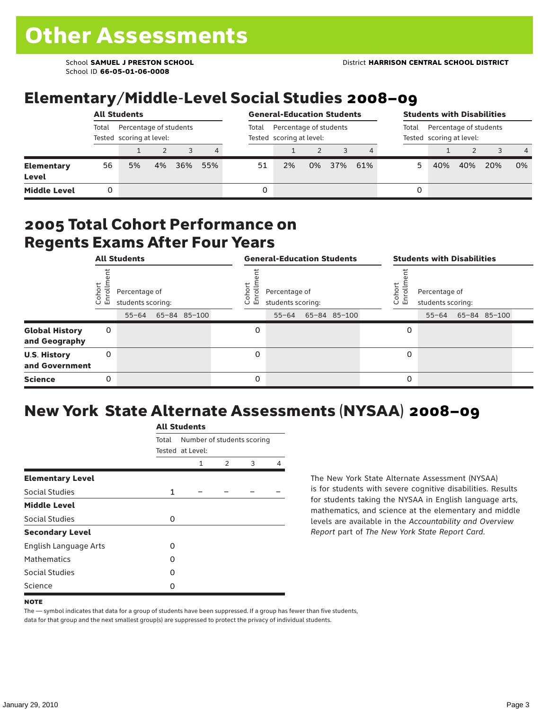School ID **66-05-01-06-0008**

# Elementary/Middle-Level Social Studies 2008–09

|                            |                                                             | <b>All Students</b> |    | <b>General-Education Students</b> |                |       |                                                    | <b>Students with Disabilities</b> |     |                                                             |   |     |     |     |                |
|----------------------------|-------------------------------------------------------------|---------------------|----|-----------------------------------|----------------|-------|----------------------------------------------------|-----------------------------------|-----|-------------------------------------------------------------|---|-----|-----|-----|----------------|
|                            | Total<br>Percentage of students<br>Tested scoring at level: |                     |    |                                   |                | Total | Percentage of students<br>Tested scoring at level: |                                   |     | Percentage of students<br>Total<br>Tested scoring at level: |   |     |     |     |                |
|                            |                                                             |                     |    |                                   | $\overline{4}$ |       |                                                    |                                   |     |                                                             |   |     |     |     | $\overline{4}$ |
| <b>Elementary</b><br>Level | 56                                                          | 5%                  | 4% | 36%                               | 55%            | 51    | 2%                                                 | 0%                                | 37% | 61%                                                         |   | 40% | 40% | 20% | 0%             |
| <b>Middle Level</b>        |                                                             |                     |    |                                   |                | 0     |                                                    |                                   |     |                                                             | 0 |     |     |     |                |

#### 2005 Total Cohort Performance on Regents Exams After Four Years

|                                        |                 | <b>All Students</b>                |              |                      | <b>General-Education Students</b>  |              |                   | <b>Students with Disabilities</b>  |                    |  |
|----------------------------------------|-----------------|------------------------------------|--------------|----------------------|------------------------------------|--------------|-------------------|------------------------------------|--------------------|--|
|                                        | Cohor<br>Enroll | Percentage of<br>students scoring: |              | Coho<br>$\circ$<br>ᇛ | Percentage of<br>students scoring: |              | Cohort<br>o,<br>문 | Percentage of<br>students scoring: |                    |  |
|                                        |                 | $55 - 64$                          | 65-84 85-100 |                      | $55 - 64$                          | 65-84 85-100 |                   |                                    | 55-64 65-84 85-100 |  |
| <b>Global History</b><br>and Geography | 0               |                                    |              | 0                    |                                    |              | 0                 |                                    |                    |  |
| <b>U.S. History</b><br>and Government  | 0               |                                    |              | $\Omega$             |                                    |              | 0                 |                                    |                    |  |
| <b>Science</b>                         | 0               |                                    |              | 0                    |                                    |              | 0                 |                                    |                    |  |

# New York State Alternate Assessments (NYSAA) 2008–09

|                         |              | <b>All Students</b>                            |               |   |   |  |  |  |
|-------------------------|--------------|------------------------------------------------|---------------|---|---|--|--|--|
|                         | Total        | Number of students scoring<br>Tested at Level: |               |   |   |  |  |  |
|                         |              | 1                                              | $\mathcal{P}$ | 3 | 4 |  |  |  |
| <b>Elementary Level</b> |              |                                                |               |   |   |  |  |  |
| Social Studies          | $\mathbf{1}$ |                                                |               |   |   |  |  |  |
| <b>Middle Level</b>     |              |                                                |               |   |   |  |  |  |
| Social Studies          | O            |                                                |               |   |   |  |  |  |
| <b>Secondary Level</b>  |              |                                                |               |   |   |  |  |  |
| English Language Arts   | O            |                                                |               |   |   |  |  |  |
| <b>Mathematics</b>      | O            |                                                |               |   |   |  |  |  |
| <b>Social Studies</b>   | O            |                                                |               |   |   |  |  |  |
| Science                 | O            |                                                |               |   |   |  |  |  |

The New York State Alternate Assessment (NYSAA) is for students with severe cognitive disabilities. Results for students taking the NYSAA in English language arts, mathematics, and science at the elementary and middle levels are available in the *Accountability and Overview Report* part of *The New York State Report Card*.

The — symbol indicates that data for a group of students have been suppressed. If a group has fewer than five students, data for that group and the next smallest group(s) are suppressed to protect the privacy of individual students.

**NOTE**